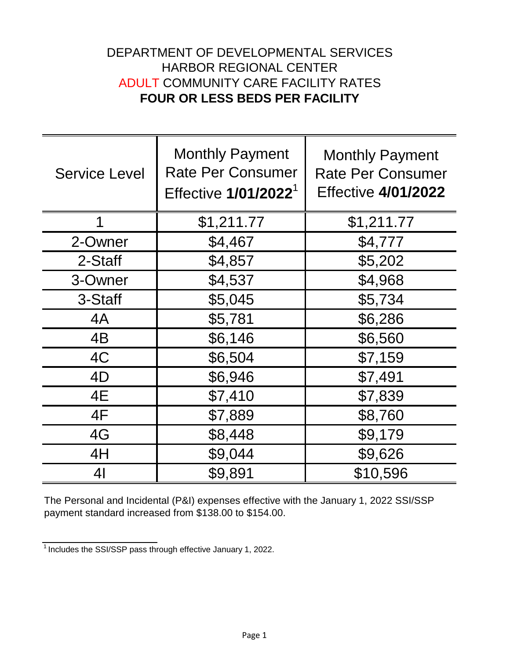## DEPARTMENT OF DEVELOPMENTAL SERVICES HARBOR REGIONAL CENTER ADULT COMMUNITY CARE FACILITY RATES **FOUR OR LESS BEDS PER FACILITY**

| <b>Service Level</b> | <b>Monthly Payment</b><br><b>Rate Per Consumer</b><br>Effective 1/01/2022 <sup>1</sup> | <b>Monthly Payment</b><br><b>Rate Per Consumer</b><br><b>Effective 4/01/2022</b> |
|----------------------|----------------------------------------------------------------------------------------|----------------------------------------------------------------------------------|
| 1                    | \$1,211.77                                                                             | \$1,211.77                                                                       |
| 2-Owner              | \$4,467                                                                                | \$4,777                                                                          |
| 2-Staff              | \$4,857                                                                                | \$5,202                                                                          |
| 3-Owner              | \$4,537                                                                                | \$4,968                                                                          |
| 3-Staff              | \$5,045                                                                                | \$5,734                                                                          |
| 4A                   | \$5,781                                                                                | \$6,286                                                                          |
| 4B                   | \$6,146                                                                                | \$6,560                                                                          |
| 4C                   | \$6,504                                                                                | \$7,159                                                                          |
| 4D                   | \$6,946                                                                                | \$7,491                                                                          |
| 4E                   | \$7,410                                                                                | \$7,839                                                                          |
| 4F                   | \$7,889                                                                                | \$8,760                                                                          |
| 4G                   | \$8,448                                                                                | \$9,179                                                                          |
| 4H                   | \$9,044                                                                                | \$9,626                                                                          |
| 4 <sub>l</sub>       | \$9,891                                                                                | \$10,596                                                                         |

The Personal and Incidental (P&I) expenses effective with the January 1, 2022 SSI/SSP payment standard increased from \$138.00 to \$154.00.

 $\frac{1}{1}$  Includes the SSI/SSP pass through effective January 1, 2022.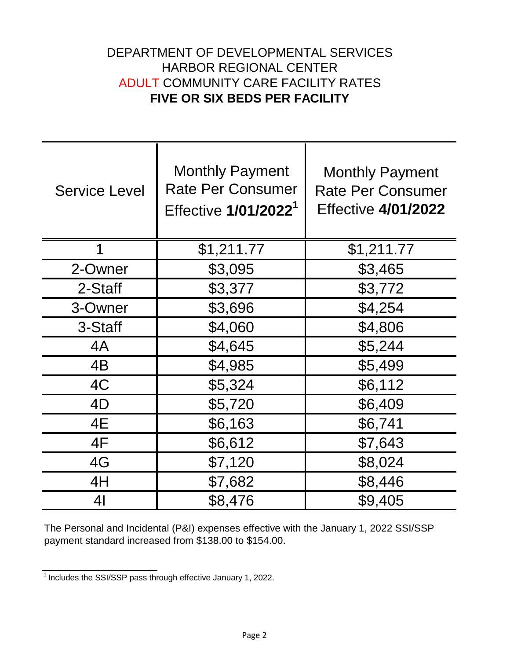## DEPARTMENT OF DEVELOPMENTAL SERVICES HARBOR REGIONAL CENTER ADULT COMMUNITY CARE FACILITY RATES **FIVE OR SIX BEDS PER FACILITY**

| <b>Service Level</b> | <b>Monthly Payment</b><br><b>Rate Per Consumer</b><br>Effective 1/01/2022 <sup>1</sup> | <b>Monthly Payment</b><br><b>Rate Per Consumer</b><br><b>Effective 4/01/2022</b> |
|----------------------|----------------------------------------------------------------------------------------|----------------------------------------------------------------------------------|
| 1                    | \$1,211.77                                                                             | \$1,211.77                                                                       |
| 2-Owner              | \$3,095                                                                                | \$3,465                                                                          |
| 2-Staff              | \$3,377                                                                                | \$3,772                                                                          |
| 3-Owner              | \$3,696                                                                                | \$4,254                                                                          |
| 3-Staff              | \$4,060                                                                                | \$4,806                                                                          |
| 4A                   | \$4,645                                                                                | \$5,244                                                                          |
| 4B                   | \$4,985                                                                                | \$5,499                                                                          |
| 4C                   | \$5,324                                                                                | \$6,112                                                                          |
| 4D                   | \$5,720                                                                                | \$6,409                                                                          |
| 4E                   | \$6,163                                                                                | \$6,741                                                                          |
| 4F                   | \$6,612                                                                                | \$7,643                                                                          |
| 4G                   | \$7,120                                                                                | \$8,024                                                                          |
| 4H                   | \$7,682                                                                                | \$8,446                                                                          |
| 41                   | \$8,476                                                                                | \$9,405                                                                          |

The Personal and Incidental (P&I) expenses effective with the January 1, 2022 SSI/SSP payment standard increased from \$138.00 to \$154.00.

 $\frac{1}{1}$  Includes the SSI/SSP pass through effective January 1, 2022.